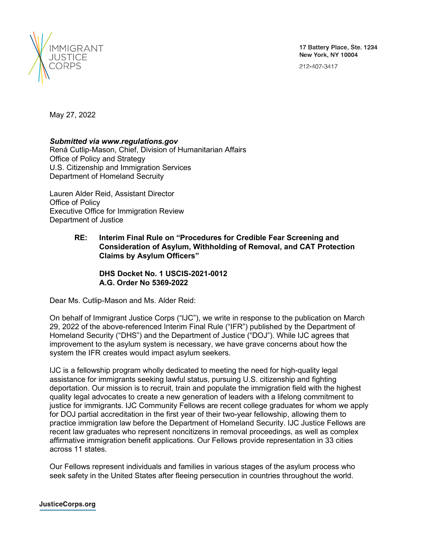

212-407-3417



May 27, 2022

# *Submitted via www.regulations.gov*

Rená Cutlip-Mason, Chief, Division of Humanitarian Affairs Office of Policy and Strategy U.S. Citizenship and Immigration Services Department of Homeland Secruity

Lauren Alder Reid, Assistant Director Office of Policy Executive Office for Immigration Review Department of Justice

# **RE: Interim Final Rule on "Procedures for Credible Fear Screening and Consideration of Asylum, Withholding of Removal, and CAT Protection Claims by Asylum Officers"**

**DHS Docket No. 1 USCIS-2021-0012 A.G. Order No 5369-2022**

Dear Ms. Cutlip-Mason and Ms. Alder Reid:

On behalf of Immigrant Justice Corps ("IJC"), we write in response to the publication on March 29, 2022 of the above-referenced Interim Final Rule ("IFR") published by the Department of Homeland Security ("DHS") and the Department of Justice ("DOJ"). While IJC agrees that improvement to the asylum system is necessary, we have grave concerns about how the system the IFR creates would impact asylum seekers.

IJC is a fellowship program wholly dedicated to meeting the need for high-quality legal assistance for immigrants seeking lawful status, pursuing U.S. citizenship and fighting deportation. Our mission is to recruit, train and populate the immigration field with the highest quality legal advocates to create a new generation of leaders with a lifelong commitment to justice for immigrants. IJC Community Fellows are recent college graduates for whom we apply for DOJ partial accreditation in the first year of their two-year fellowship, allowing them to practice immigration law before the Department of Homeland Security. IJC Justice Fellows are recent law graduates who represent noncitizens in removal proceedings, as well as complex affirmative immigration benefit applications. Our Fellows provide representation in 33 cities across 11 states.

Our Fellows represent individuals and families in various stages of the asylum process who seek safety in the United States after fleeing persecution in countries throughout the world.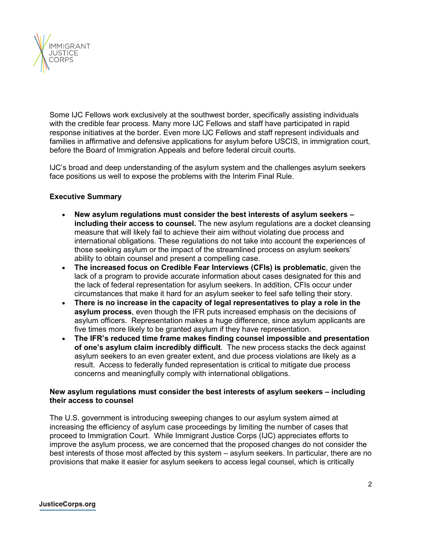

Some IJC Fellows work exclusively at the southwest border, specifically assisting individuals with the credible fear process. Many more IJC Fellows and staff have participated in rapid response initiatives at the border. Even more IJC Fellows and staff represent individuals and families in affirmative and defensive applications for asylum before USCIS, in immigration court, before the Board of Immigration Appeals and before federal circuit courts.

IJC's broad and deep understanding of the asylum system and the challenges asylum seekers face positions us well to expose the problems with the Interim Final Rule.

## **Executive Summary**

- **New asylum regulations must consider the best interests of asylum seekers – including their access to counsel.** The new asylum regulations are a docket cleansing measure that will likely fail to achieve their aim without violating due process and international obligations. These regulations do not take into account the experiences of those seeking asylum or the impact of the streamlined process on asylum seekers' ability to obtain counsel and present a compelling case.
- **The increased focus on Credible Fear Interviews (CFIs) is problematic**, given the lack of a program to provide accurate information about cases designated for this and the lack of federal representation for asylum seekers. In addition, CFIs occur under circumstances that make it hard for an asylum seeker to feel safe telling their story.
- **There is no increase in the capacity of legal representatives to play a role in the asylum process**, even though the IFR puts increased emphasis on the decisions of asylum officers. Representation makes a huge difference, since asylum applicants are five times more likely to be granted asylum if they have representation.
- **The IFR's reduced time frame makes finding counsel impossible and presentation of one's asylum claim incredibly difficult**. The new process stacks the deck against asylum seekers to an even greater extent, and due process violations are likely as a result. Access to federally funded representation is critical to mitigate due process concerns and meaningfully comply with international obligations.

## **New asylum regulations must consider the best interests of asylum seekers – including their access to counsel**

The U.S. government is introducing sweeping changes to our asylum system aimed at increasing the efficiency of asylum case proceedings by limiting the number of cases that proceed to Immigration Court. While Immigrant Justice Corps (IJC) appreciates efforts to improve the asylum process, we are concerned that the proposed changes do not consider the best interests of those most affected by this system – asylum seekers. In particular, there are no provisions that make it easier for asylum seekers to access legal counsel, which is critically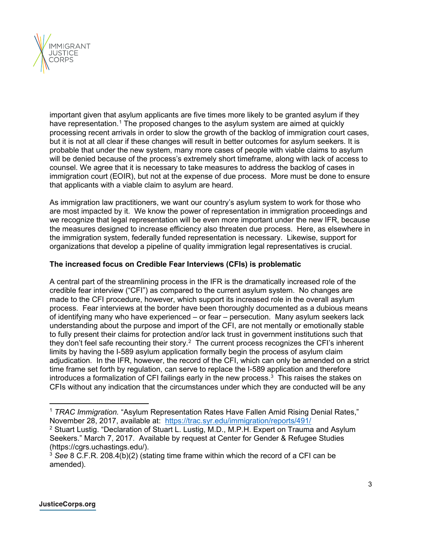

important given that asylum applicants are five times more likely to be granted asylum if they have representation.<sup>[1](#page-2-0)</sup> The proposed changes to the asylum system are aimed at quickly processing recent arrivals in order to slow the growth of the backlog of immigration court cases, but it is not at all clear if these changes will result in better outcomes for asylum seekers. It is probable that under the new system, many more cases of people with viable claims to asylum will be denied because of the process's extremely short timeframe, along with lack of access to counsel. We agree that it is necessary to take measures to address the backlog of cases in immigration court (EOIR), but not at the expense of due process. More must be done to ensure that applicants with a viable claim to asylum are heard.

As immigration law practitioners, we want our country's asylum system to work for those who are most impacted by it. We know the power of representation in immigration proceedings and we recognize that legal representation will be even more important under the new IFR, because the measures designed to increase efficiency also threaten due process. Here, as elsewhere in the immigration system, federally funded representation is necessary. Likewise, support for organizations that develop a pipeline of quality immigration legal representatives is crucial.

# **The increased focus on Credible Fear Interviews (CFIs) is problematic**

A central part of the streamlining process in the IFR is the dramatically increased role of the credible fear interview ("CFI") as compared to the current asylum system. No changes are made to the CFI procedure, however, which support its increased role in the overall asylum process. Fear interviews at the border have been thoroughly documented as a dubious means of identifying many who have experienced – or fear – persecution. Many asylum seekers lack understanding about the purpose and import of the CFI, are not mentally or emotionally stable to fully present their claims for protection and/or lack trust in government institutions such that they don't feel safe recounting their story.<sup>[2](#page-2-1)</sup> The current process recognizes the CFI's inherent limits by having the I-589 asylum application formally begin the process of asylum claim adjudication. In the IFR, however, the record of the CFI, which can only be amended on a strict time frame set forth by regulation, can serve to replace the I-589 application and therefore introduces a formalization of CFI failings early in the new process. $^3\,$  $^3\,$  $^3\,$  This raises the stakes on CFIs without any indication that the circumstances under which they are conducted will be any

<span id="page-2-1"></span><span id="page-2-0"></span><sup>&</sup>lt;sup>1</sup> *TRAC Immigration.* "Asylum Representation Rates Have Fallen Amid Rising Denial Rates,"<br>November 28, 2017, available at: https://trac.syr.edu/immigration/reports/491/ <sup>2</sup> Stuart Lustig. "Declaration of Stuart L. Lustig, M.D., M.P.H. Expert on Trauma and Asylum Seekers." March 7, 2017. Available by request at Center for Gender & Refugee Studies (https://cgrs.uchastings.edu/).

<span id="page-2-2"></span><sup>3</sup> *See* 8 C.F.R. 208.4(b)(2) (stating time frame within which the record of a CFI can be amended).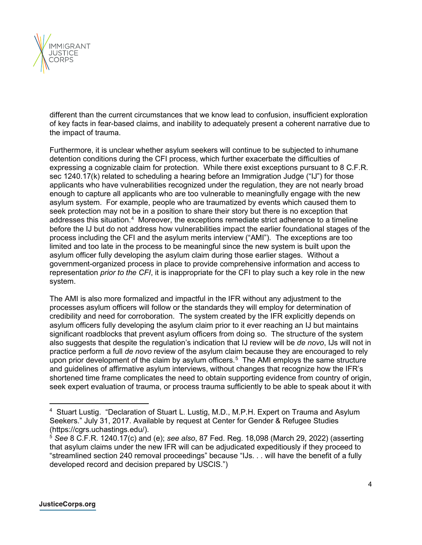

different than the current circumstances that we know lead to confusion, insufficient exploration of key facts in fear-based claims, and inability to adequately present a coherent narrative due to the impact of trauma.

Furthermore, it is unclear whether asylum seekers will continue to be subjected to inhumane detention conditions during the CFI process, which further exacerbate the difficulties of expressing a cognizable claim for protection. While there exist exceptions pursuant to 8 C.F.R. sec 1240.17(k) related to scheduling a hearing before an Immigration Judge ("IJ") for those applicants who have vulnerabilities recognized under the regulation, they are not nearly broad enough to capture all applicants who are too vulnerable to meaningfully engage with the new asylum system. For example, people who are traumatized by events which caused them to seek protection may not be in a position to share their story but there is no exception that addresses this situation.[4](#page-3-0) Moreover, the exceptions remediate strict adherence to a timeline before the IJ but do not address how vulnerabilities impact the earlier foundational stages of the process including the CFI and the asylum merits interview ("AMI"). The exceptions are too limited and too late in the process to be meaningful since the new system is built upon the asylum officer fully developing the asylum claim during those earlier stages. Without a government-organized process in place to provide comprehensive information and access to representation *prior to the CFI*, it is inappropriate for the CFI to play such a key role in the new system.

The AMI is also more formalized and impactful in the IFR without any adjustment to the processes asylum officers will follow or the standards they will employ for determination of credibility and need for corroboration. The system created by the IFR explicitly depends on asylum officers fully developing the asylum claim prior to it ever reaching an IJ but maintains significant roadblocks that prevent asylum officers from doing so. The structure of the system also suggests that despite the regulation's indication that IJ review will be *de novo*, IJs will not in practice perform a full *de novo* review of the asylum claim because they are encouraged to rely upon prior development of the claim by asylum officers. $5\,$  $5\,$  The AMI employs the same structure and guidelines of affirmative asylum interviews, without changes that recognize how the IFR's shortened time frame complicates the need to obtain supporting evidence from country of origin, seek expert evaluation of trauma, or process trauma sufficiently to be able to speak about it with

<span id="page-3-0"></span><sup>4</sup> Stuart Lustig. "Declaration of Stuart L. Lustig, M.D., M.P.H. Expert on Trauma and Asylum Seekers." July 31, 2017. Available by request at Center for Gender & Refugee Studies (https://cgrs.uchastings.edu/).

<span id="page-3-1"></span><sup>5</sup> *See* 8 C.F.R. 1240.17(c) and (e); *see also*, 87 Fed. Reg. 18,098 (March 29, 2022) (asserting that asylum claims under the new IFR will can be adjudicated expeditiously if they proceed to "streamlined section 240 removal proceedings" because "IJs. . . will have the benefit of a fully developed record and decision prepared by USCIS.")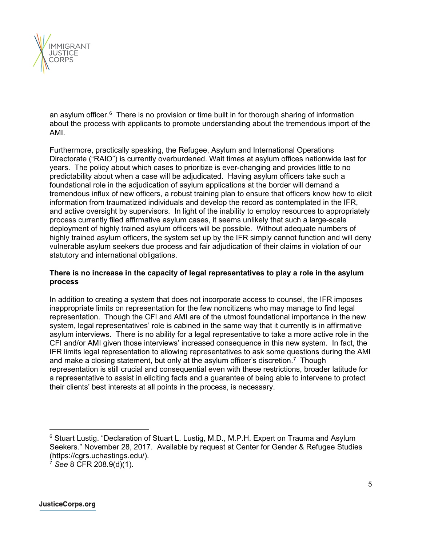

an asylum officer. $6$  There is no provision or time built in for thorough sharing of information about the process with applicants to promote understanding about the tremendous import of the AMI.

Furthermore, practically speaking, the Refugee, Asylum and International Operations Directorate ("RAIO") is currently overburdened. Wait times at asylum offices nationwide last for years. The policy about which cases to prioritize is ever-changing and provides little to no predictability about when a case will be adjudicated. Having asylum officers take such a foundational role in the adjudication of asylum applications at the border will demand a tremendous influx of new officers, a robust training plan to ensure that officers know how to elicit information from traumatized individuals and develop the record as contemplated in the IFR, and active oversight by supervisors. In light of the inability to employ resources to appropriately process currently filed affirmative asylum cases, it seems unlikely that such a large-scale deployment of highly trained asylum officers will be possible. Without adequate numbers of highly trained asylum officers, the system set up by the IFR simply cannot function and will deny vulnerable asylum seekers due process and fair adjudication of their claims in violation of our statutory and international obligations.

# **There is no increase in the capacity of legal representatives to play a role in the asylum process**

In addition to creating a system that does not incorporate access to counsel, the IFR imposes inappropriate limits on representation for the few noncitizens who may manage to find legal representation. Though the CFI and AMI are of the utmost foundational importance in the new system, legal representatives' role is cabined in the same way that it currently is in affirmative asylum interviews. There is no ability for a legal representative to take a more active role in the CFI and/or AMI given those interviews' increased consequence in this new system. In fact, the IFR limits legal representation to allowing representatives to ask some questions during the AMI and make a closing statement, but only at the asylum officer's discretion.<sup>[7](#page-4-1)</sup> Though representation is still crucial and consequential even with these restrictions, broader latitude for a representative to assist in eliciting facts and a guarantee of being able to intervene to protect their clients' best interests at all points in the process, is necessary.

<span id="page-4-0"></span><sup>6</sup> Stuart Lustig. "Declaration of Stuart L. Lustig, M.D., M.P.H. Expert on Trauma and Asylum Seekers." November 28, 2017. Available by request at Center for Gender & Refugee Studies (https://cgrs.uchastings.edu/).

<span id="page-4-1"></span><sup>7</sup> *See* 8 CFR 208.9(d)(1).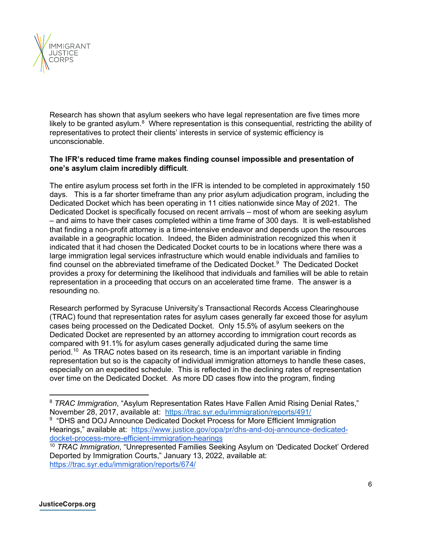

Research has shown that asylum seekers who have legal representation are five times more likely to be granted asylum. $^8\,$  $^8\,$  $^8\,$  Where representation is this consequential, restricting the ability of representatives to protect their clients' interests in service of systemic efficiency is unconscionable.

# **The IFR's reduced time frame makes finding counsel impossible and presentation of one's asylum claim incredibly difficult**.

The entire asylum process set forth in the IFR is intended to be completed in approximately 150 days. This is a far shorter timeframe than any prior asylum adjudication program, including the Dedicated Docket which has been operating in 11 cities nationwide since May of 2021. The Dedicated Docket is specifically focused on recent arrivals – most of whom are seeking asylum – and aims to have their cases completed within a time frame of 300 days. It is well-established that finding a non-profit attorney is a time-intensive endeavor and depends upon the resources available in a geographic location. Indeed, the Biden administration recognized this when it indicated that it had chosen the Dedicated Docket courts to be in locations where there was a large immigration legal services infrastructure which would enable individuals and families to find counsel on the abbreviated timeframe of the Dedicated Docket.<sup>[9](#page-5-1)</sup> The Dedicated Docket provides a proxy for determining the likelihood that individuals and families will be able to retain representation in a proceeding that occurs on an accelerated time frame. The answer is a resounding no.

Research performed by Syracuse University's Transactional Records Access Clearinghouse (TRAC) found that representation rates for asylum cases generally far exceed those for asylum cases being processed on the Dedicated Docket. Only 15.5% of asylum seekers on the Dedicated Docket are represented by an attorney according to immigration court records as compared with 91.1% for asylum cases generally adjudicated during the same time period.[10](#page-5-2) As TRAC notes based on its research, time is an important variable in finding representation but so is the capacity of individual immigration attorneys to handle these cases, especially on an expedited schedule. This is reflected in the declining rates of representation over time on the Dedicated Docket. As more DD cases flow into the program, finding

<span id="page-5-0"></span><sup>8</sup> *TRAC Immigration*, "Asylum Representation Rates Have Fallen Amid Rising Denial Rates," November 28, 2017, available at: https://trac.syr.edu/immigration/reports/491/

<span id="page-5-1"></span><sup>&</sup>lt;sup>9</sup> "DHS and DOJ Announce Dedicated Docket Process for More Efficient Immigration Hearings," available at: [https://www.justice.gov/opa/pr/dhs-and-doj-announce-dedicated](https://www.justice.gov/opa/pr/dhs-and-doj-announce-dedicated-docket-process-more-efficient-immigration-hearings)[docket-process-more-efficient-immigration-hearings](https://www.justice.gov/opa/pr/dhs-and-doj-announce-dedicated-docket-process-more-efficient-immigration-hearings)

<span id="page-5-2"></span><sup>10</sup> *TRAC Immigration*, "Unrepresented Families Seeking Asylum on 'Dedicated Docket' Ordered Deported by Immigration Courts," January 13, 2022, available at: <https://trac.syr.edu/immigration/reports/674/>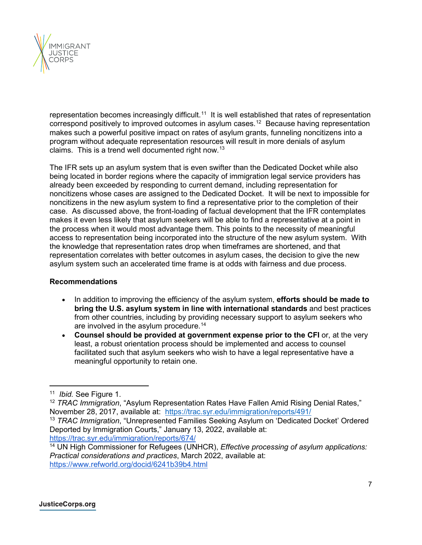

representation becomes increasingly difficult.<sup>11</sup> It is well established that rates of representation correspond positively to improved outcomes in asylum cases.[12](#page-6-1) Because having representation makes such a powerful positive impact on rates of asylum grants, funneling noncitizens into a program without adequate representation resources will result in more denials of asylum claims. This is a trend well documented right now.[13](#page-6-2)

The IFR sets up an asylum system that is even swifter than the Dedicated Docket while also being located in border regions where the capacity of immigration legal service providers has already been exceeded by responding to current demand, including representation for noncitizens whose cases are assigned to the Dedicated Docket. It will be next to impossible for noncitizens in the new asylum system to find a representative prior to the completion of their case. As discussed above, the front-loading of factual development that the IFR contemplates makes it even less likely that asylum seekers will be able to find a representative at a point in the process when it would most advantage them. This points to the necessity of meaningful access to representation being incorporated into the structure of the new asylum system. With the knowledge that representation rates drop when timeframes are shortened, and that representation correlates with better outcomes in asylum cases, the decision to give the new asylum system such an accelerated time frame is at odds with fairness and due process.

# **Recommendations**

- In addition to improving the efficiency of the asylum system, **efforts should be made to bring the U.S. asylum system in line with international standards** and best practices from other countries, including by providing necessary support to asylum seekers who are involved in the asylum procedure.<sup>[14](#page-6-3)</sup>
- **Counsel should be provided at government expense prior to the CFI** or, at the very least, a robust orientation process should be implemented and access to counsel facilitated such that asylum seekers who wish to have a legal representative have a meaningful opportunity to retain one.

<span id="page-6-0"></span><sup>11</sup> *Ibid.* See Figure 1.

<span id="page-6-1"></span><sup>&</sup>lt;sup>12</sup> TRAC Immigration, "Asylum Representation Rates Have Fallen Amid Rising Denial Rates," November 28, 2017, available at: <https://trac.syr.edu/immigration/reports/491/>13 *TRAC Immigration*, "Unrepresented Families Seeking Asylum on 'Dedicated Docket' Ordered

<span id="page-6-2"></span>Deported by Immigration Courts," January 13, 2022, available at: <https://trac.syr.edu/immigration/reports/674/>

<span id="page-6-3"></span><sup>14</sup> UN High Commissioner for Refugees (UNHCR), *Effective processing of asylum applications: Practical considerations and practices*, March 2022, available at: <https://www.refworld.org/docid/6241b39b4.html>